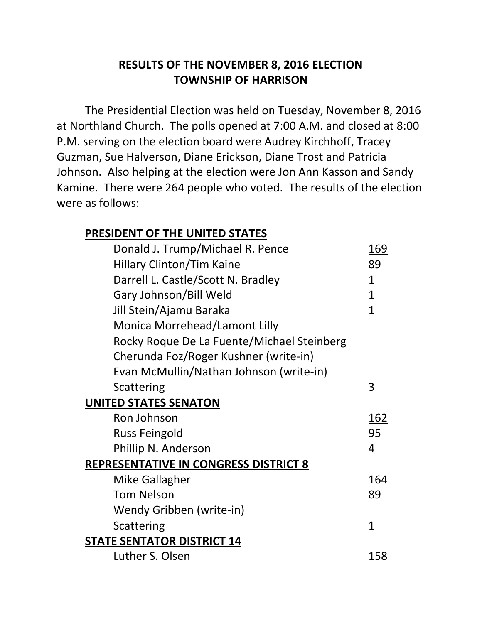## **RESULTS OF THE NOVEMBER 8, 2016 ELECTION TOWNSHIP OF HARRISON**

The Presidential Election was held on Tuesday, November 8, 2016 at Northland Church. The polls opened at 7:00 A.M. and closed at 8:00 P.M. serving on the election board were Audrey Kirchhoff, Tracey Guzman, Sue Halverson, Diane Erickson, Diane Trost and Patricia Johnson. Also helping at the election were Jon Ann Kasson and Sandy Kamine. There were 264 people who voted. The results of the election were as follows:

## **PRESIDENT OF THE UNITED STATES**

| Donald J. Trump/Michael R. Pence             | 169          |
|----------------------------------------------|--------------|
| <b>Hillary Clinton/Tim Kaine</b>             | 89           |
| Darrell L. Castle/Scott N. Bradley           | 1            |
| Gary Johnson/Bill Weld                       | 1            |
| Jill Stein/Ajamu Baraka                      | 1            |
| Monica Morrehead/Lamont Lilly                |              |
| Rocky Roque De La Fuente/Michael Steinberg   |              |
| Cherunda Foz/Roger Kushner (write-in)        |              |
| Evan McMullin/Nathan Johnson (write-in)      |              |
| Scattering                                   | 3            |
| <b>UNITED STATES SENATON</b>                 |              |
| Ron Johnson                                  | 162          |
| <b>Russ Feingold</b>                         | 95           |
| Phillip N. Anderson                          | 4            |
| <b>REPRESENTATIVE IN CONGRESS DISTRICT 8</b> |              |
| <b>Mike Gallagher</b>                        | 164          |
| <b>Tom Nelson</b>                            | 89           |
| Wendy Gribben (write-in)                     |              |
| Scattering                                   | $\mathbf{1}$ |
| <b>STATE SENTATOR DISTRICT 14</b>            |              |
| Luther S. Olsen                              | 158          |